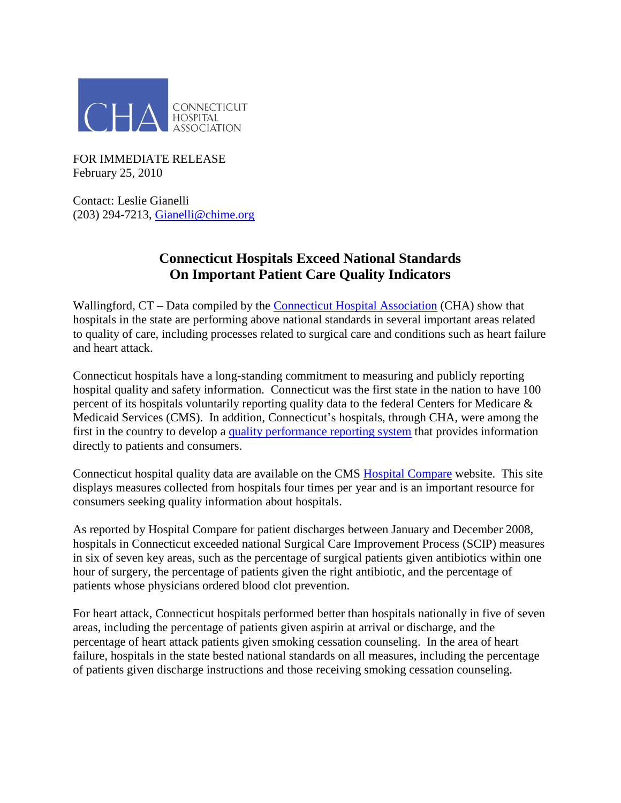

FOR IMMEDIATE RELEASE February 25, 2010

Contact: Leslie Gianelli (203) 294-7213, [Gianelli@chime.org](mailto:Gianelli@chime.org)

## **Connecticut Hospitals Exceed National Standards On Important Patient Care Quality Indicators**

Wallingford, CT – Data compiled by the [Connecticut Hospital Association](http://www.cthosp.org/) (CHA) show that hospitals in the state are performing above national standards in several important areas related to quality of care, including processes related to surgical care and conditions such as heart failure and heart attack.

Connecticut hospitals have a long-standing commitment to measuring and publicly reporting hospital quality and safety information. Connecticut was the first state in the nation to have 100 percent of its hospitals voluntarily reporting quality data to the federal Centers for Medicare & Medicaid Services (CMS). In addition, Connecticut's hospitals, through CHA, were among the first in the country to develop a [quality performance reporting system](http://www.cthosp.org/patient_consumer_info/patient_consumer_info.html) that provides information directly to patients and consumers.

Connecticut hospital quality data are available on the CMS [Hospital Compare](http://www.hospitalcompare.hhs.gov/Hospital/Search/Welcome.asp?version=default&browser=IE%7C6%7CWinXP&language=English&defaultstatus=0&MBPProviderID=&TargetPage=&ComingFromMBP=&CookiesEnabledStatus=&TID=&StateAbbr=&ZIP=&State=&pagelist=Home) website. This site displays measures collected from hospitals four times per year and is an important resource for consumers seeking quality information about hospitals.

As reported by Hospital Compare for patient discharges between January and December 2008, hospitals in Connecticut exceeded national Surgical Care Improvement Process (SCIP) measures in six of seven key areas, such as the percentage of surgical patients given antibiotics within one hour of surgery, the percentage of patients given the right antibiotic, and the percentage of patients whose physicians ordered blood clot prevention.

For heart attack, Connecticut hospitals performed better than hospitals nationally in five of seven areas, including the percentage of patients given aspirin at arrival or discharge, and the percentage of heart attack patients given smoking cessation counseling. In the area of heart failure, hospitals in the state bested national standards on all measures, including the percentage of patients given discharge instructions and those receiving smoking cessation counseling.